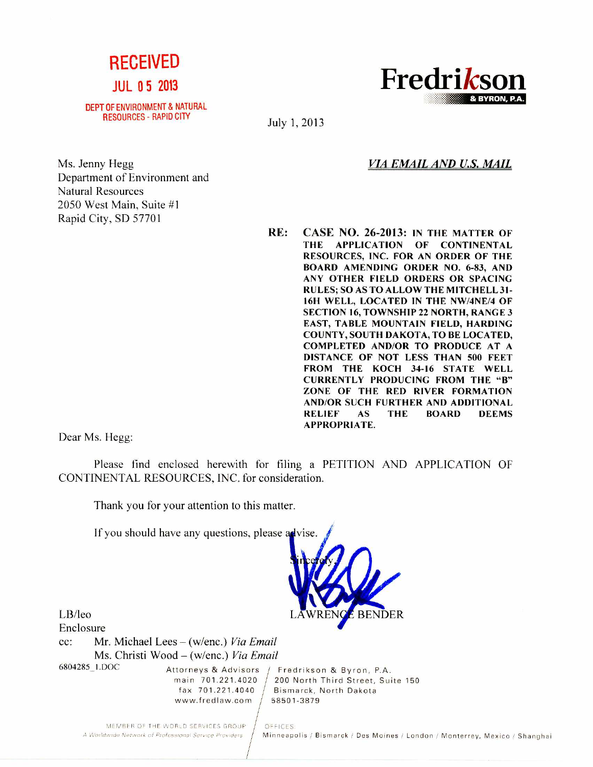# **RECEIVED**

### **JUL 0 5 2013**

#### DEPT OF ENVIRONMENT & NATURAL RESOURCES - RAPID CITY



July 1, 2013

### *VIA EMAIL AND U.S. MAIL*

Ms. Jenny Hegg Department of Environment and Natural Resources 2050 West Main, Suite #1 Rapid City, SD 57701

**RE: CASE NO. 26-2013: IN THE MATTER OF THE APPLICATION OF CONTINENTAL RESOURCES, INC. FOR AN ORDER OF THE BOARD AMENDING ORDER NO. 6-83, AND ANY OTHER FIELD ORDERS OR SPACING RULES; SO AS TO ALLOW THE MITCHELL 31- 16H WELL, LOCATED IN THE** NW/4NE/4 **OF SECTION 16, TOWNSHIP 22 NORTH, RANGE 3 EAST, TABLE MOUNTAIN FIELD, HARDING COUNTY, SOUTH DAKOTA, TO BE LOCATED, COMPLETED AND/OR TO PRODUCE AT A DISTANCE OF NOT LESS THAN 500 FEET FROM THE KOCH 34-16 STATE WELL CURRENTLY PRODUCING FROM THE "B" ZONE OF THE RED RIVER FORMATION AND/OR SUCH FURTHER AND ADDITIONAL RELIEF AS THE BOARD DEEMS APPROPRIATE.** 

Dear Ms. Hegg:

Please find enclosed herewith for tiling a PETITION AND APPLICATION OF CONTINENTAL RESOURCES, INC. for consideration.

Thank you for your attention to this matter.

If you should have any questions, please advise.



Enclosure

cc: Mr. Michael Lees — (w/enc.) *Via Email*  Ms. Christi Wood – (w/enc.) *Via Email*<br>6804285 1.DOC – Attorneys & Advisors

www.fredlaw.com / 58501-3879

Attorneys & Advisors / Fredrikson & Byron, P.A. main 701.221.4020 200 North Third Street, Suite 150 Bismarck, North Dakota

MEMBER OF THE WORLD SERVICES GROUP **OFFICES**<br>A Worldwide Network of Professional Service Providers **Minneap** 

*Minneapolis / Bismarck / Des Moines / London / Monterrey, Mexico / Shanghai*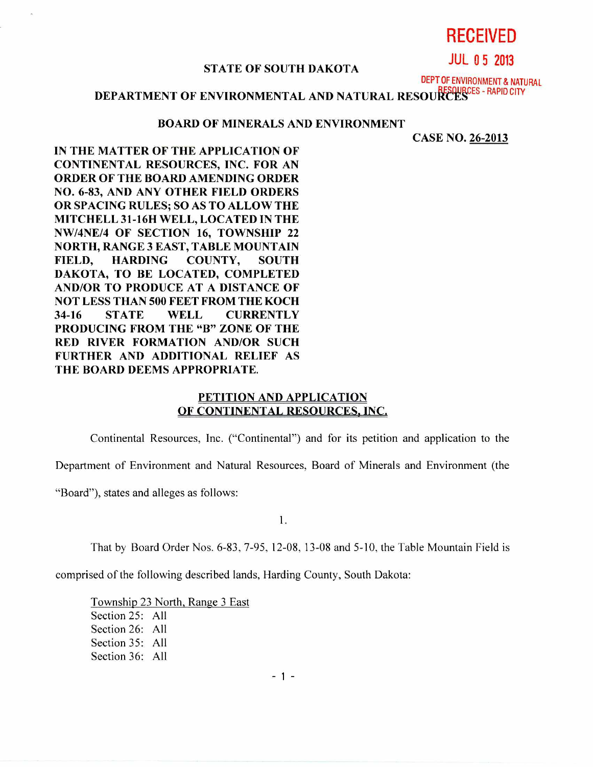**RECEIVED** 

# **STATE OF SOUTH DAKOTA JUL 0 5 2013**

DEPT OF ENVIRONMENT & NATURAL

**DEPARTMENT OF ENVIRONMENTAL AND NATURAL RESOURCES - RAPID CITY** 

#### **BOARD OF MINERALS AND ENVIRONMENT**

**CASE NO. 26-2013** 

**IN THE MATTER OF THE APPLICATION OF CONTINENTAL RESOURCES, INC. FOR AN ORDER OF THE BOARD AMENDING ORDER NO. 6-83, AND ANY OTHER FIELD ORDERS OR SPACING RULES; SO AS TO ALLOW THE MITCHELL 31-16H WELL, LOCATED IN THE NW/4NE/4 OF SECTION 16, TOWNSHIP 22 NORTH, RANGE 3 EAST, TABLE MOUNTAIN FIELD, HARDING COUNTY, SOUTH DAKOTA, TO BE LOCATED, COMPLETED AND/OR TO PRODUCE AT A DISTANCE OF NOT LESS THAN 500 FEET FROM THE KOCH 34-16 STATE WELL CURRENTLY PRODUCING FROM THE "B" ZONE OF THE RED RIVER FORMATION AND/OR SUCH FURTHER AND ADDITIONAL RELIEF AS THE BOARD DEEMS APPROPRIATE.** 

### **PETITION AND APPLICATION OF CONTINENTAL RESOURCES, INC,**

Continental Resources, Inc. ("Continental") and for its petition and application to the

Department of Environment and Natural Resources, Board of Minerals and Environment (the

"Board"), states and alleges as follows:

1.

That by Board Order Nos. 6-83, 7-95, 12-08, 13-08 and 5-10, the Table Mountain Field is

comprised of the following described lands, Harding County, South Dakota:

Township 23 North, Range 3 East Section 25: All Section 26: All Section 35: All Section 36: All

 $-1 -$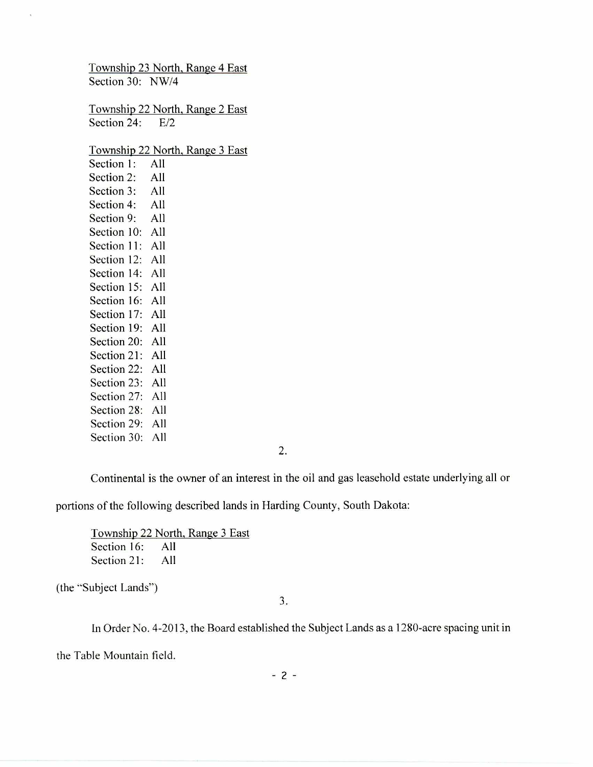Township 23 North, Range 4 East Section 30: NW/4

Township 22 North, Range 2 East Section 24: E/2

Township 22 North, Range 3 East

Section 1: All Section 2: All Section 3: All Section 4: All Section 9: All Section 10: All Section 11: All Section 12: All Section 14: All Section 15: All Section 16: All Section 17: All Section 19: All Section 20: All Section 21: All Section 22: All Section 23: All Section 27: All Section 28: All Section 29: All Section 30: All

2.

Continental is the owner of an interest in the oil and gas leasehold estate underlying all or

portions of the following described lands in Harding County, South Dakota:

Township 22 North, Range 3 East Section 16: All Section 21: All

(the "Subject Lands")

3.

In Order No. 4-2013, the Board established the Subject Lands as a 1280-acre spacing unit in

the Table Mountain field.

 $-2-$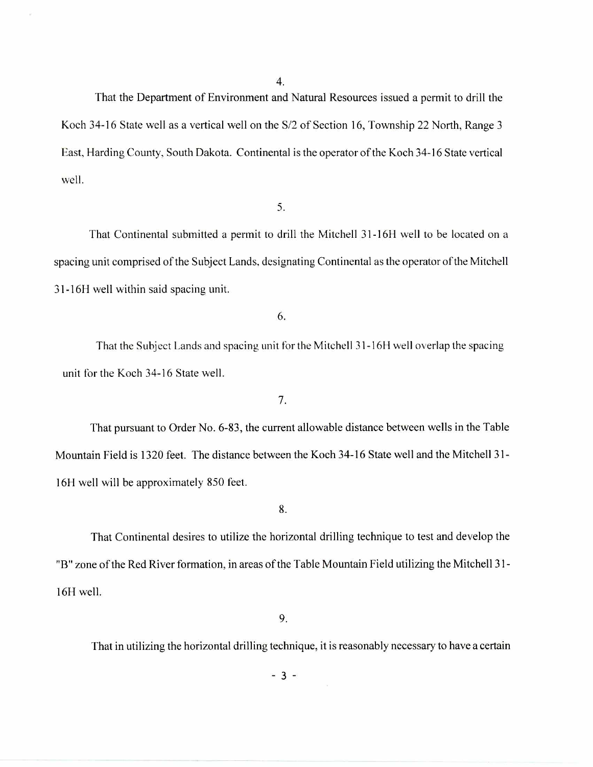4.

That the Department of Environment and Natural Resources issued a permit to drill the Koch 34-16 State well as a vertical well on the S/2 of Section 16, Township 22 North, Range 3 East, Harding County, South Dakota. Continental is the operator of the Koch 34-16 State vertical well.

5.

That Continental submitted a permit to drill the Mitchell 31-1611 well to be located on a spacing unit comprised of the Subject Lands, designating Continental as the operator of the Mitchell 31-16H well within said spacing unit.

6.

That the Subject Lands and spacing unit for the Mitchell 31-16H well overlap the spacing unit for the Koch 34-16 State well.

7.

That pursuant to Order No. 6-83, the current allowable distance between wells in the Table Mountain Field is 1320 feet. The distance between the Koch 34-16 State well and the Mitchell 31- 16H well will be approximately 850 feet.

8.

That Continental desires to utilize the horizontal drilling technique to test and develop the "B" zone of the Red River formation, in areas of the Table Mountain Field utilizing the Mitchell 31- 16H well.

9.

That in utilizing the horizontal drilling technique, it is reasonably necessary to have a certain

- 3 -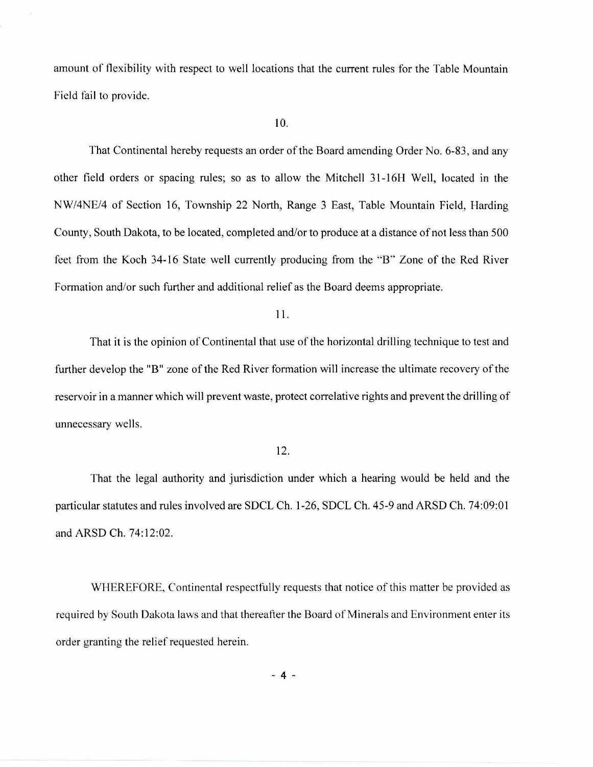amount of flexibility with respect to well locations that the current rules for the Table Mountain Field fail to provide.

### 10.

That Continental hereby requests an order of the Board amending Order No. 6-83, and any other field orders or spacing rules; so as to allow the Mitchell 31-16H Well, located in the NW/4NE/4 of Section 16, Township 22 North, Range 3 East, Table Mountain Field, Harding County, South Dakota, to be located, completed and/or to produce at a distance of not less than 500 feet from the Koch 34-16 State well currently producing from the "B" Zone of the Red River Formation and/or such further and additional relief as the Board deems appropriate.

11.

That it is the opinion of Continental that use of the horizontal drilling technique to test and further develop the "B" zone of the Red River formation will increase the ultimate recovery of the reservoir in a manner which will prevent waste, protect correlative rights and prevent the drilling of unnecessary wells.

### 12.

That the legal authority and jurisdiction under which a hearing would be held and the particular statutes and rules involved are SDCL Ch. 1-26, SDCL Ch. 45-9 and ARSD Ch. 74:09:01 and ARSD Ch. 74:12:02.

WHEREFORE, Continental respectfully requests that notice of this matter be provided as required by South Dakota laws and that thereafter the Board of Minerals and Environment enter its order granting the relief requested herein.